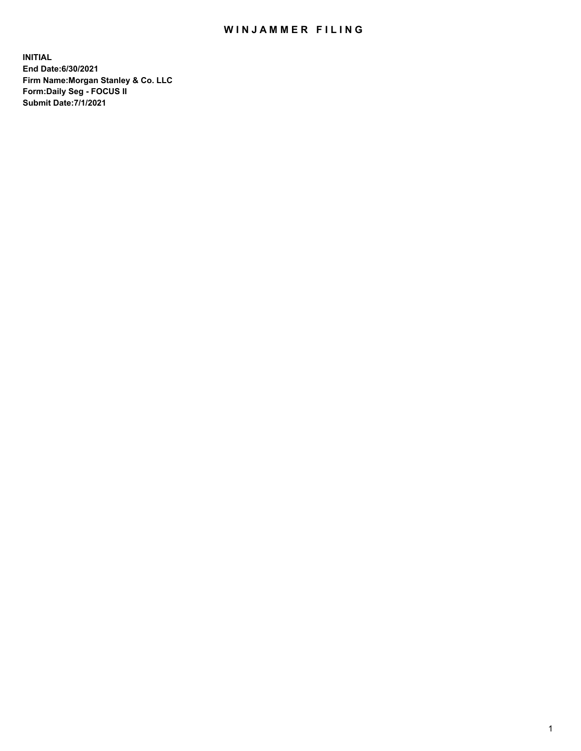## WIN JAMMER FILING

**INITIAL End Date:6/30/2021 Firm Name:Morgan Stanley & Co. LLC Form:Daily Seg - FOCUS II Submit Date:7/1/2021**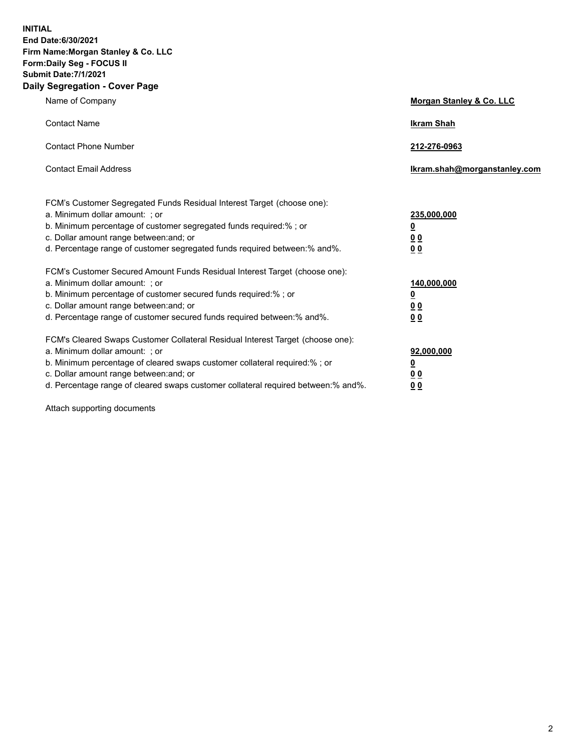**INITIAL End Date:6/30/2021 Firm Name:Morgan Stanley & Co. LLC Form:Daily Seg - FOCUS II Submit Date:7/1/2021 Daily Segregation - Cover Page**

| Name of Company                                                                                                                                                                                                                                                                                                                | Morgan Stanley & Co. LLC                               |
|--------------------------------------------------------------------------------------------------------------------------------------------------------------------------------------------------------------------------------------------------------------------------------------------------------------------------------|--------------------------------------------------------|
| <b>Contact Name</b>                                                                                                                                                                                                                                                                                                            | <b>Ikram Shah</b>                                      |
| <b>Contact Phone Number</b>                                                                                                                                                                                                                                                                                                    | 212-276-0963                                           |
| <b>Contact Email Address</b>                                                                                                                                                                                                                                                                                                   | Ikram.shah@morganstanley.com                           |
| FCM's Customer Segregated Funds Residual Interest Target (choose one):<br>a. Minimum dollar amount: ; or<br>b. Minimum percentage of customer segregated funds required:% ; or<br>c. Dollar amount range between: and; or<br>d. Percentage range of customer segregated funds required between:% and%.                         | 235,000,000<br><u>0</u><br><u>00</u><br>0 Q            |
| FCM's Customer Secured Amount Funds Residual Interest Target (choose one):<br>a. Minimum dollar amount: ; or<br>b. Minimum percentage of customer secured funds required:%; or<br>c. Dollar amount range between: and; or<br>d. Percentage range of customer secured funds required between:% and%.                            | 140,000,000<br><u>0</u><br><u>00</u><br>0 <sup>0</sup> |
| FCM's Cleared Swaps Customer Collateral Residual Interest Target (choose one):<br>a. Minimum dollar amount: ; or<br>b. Minimum percentage of cleared swaps customer collateral required:% ; or<br>c. Dollar amount range between: and; or<br>d. Percentage range of cleared swaps customer collateral required between:% and%. | 92,000,000<br><u>0</u><br>00<br>00                     |

Attach supporting documents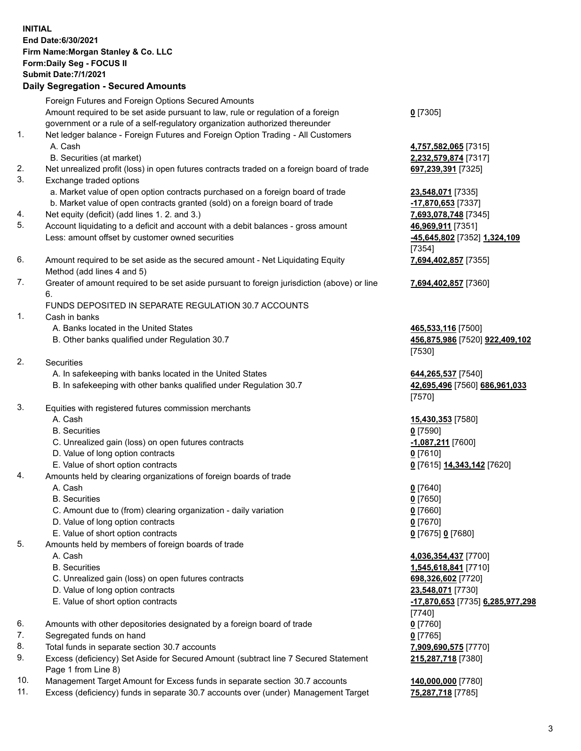|    | <b>INITIAL</b><br>End Date:6/30/2021<br>Firm Name: Morgan Stanley & Co. LLC<br>Form: Daily Seg - FOCUS II<br><b>Submit Date: 7/1/2021</b><br><b>Daily Segregation - Secured Amounts</b> |                                         |
|----|-----------------------------------------------------------------------------------------------------------------------------------------------------------------------------------------|-----------------------------------------|
|    | Foreign Futures and Foreign Options Secured Amounts                                                                                                                                     |                                         |
|    | Amount required to be set aside pursuant to law, rule or regulation of a foreign                                                                                                        | $0$ [7305]                              |
|    | government or a rule of a self-regulatory organization authorized thereunder                                                                                                            |                                         |
| 1. | Net ledger balance - Foreign Futures and Foreign Option Trading - All Customers<br>A. Cash                                                                                              | 4,757,582,065 [7315]                    |
|    | B. Securities (at market)                                                                                                                                                               | 2,232,579,874 [7317]                    |
| 2. | Net unrealized profit (loss) in open futures contracts traded on a foreign board of trade                                                                                               | 697,239,391 [7325]                      |
| 3. | Exchange traded options                                                                                                                                                                 |                                         |
|    | a. Market value of open option contracts purchased on a foreign board of trade                                                                                                          | 23,548,071 [7335]                       |
|    | b. Market value of open contracts granted (sold) on a foreign board of trade                                                                                                            | -17,870,653 [7337]                      |
| 4. | Net equity (deficit) (add lines 1. 2. and 3.)                                                                                                                                           | 7,693,078,748 [7345]                    |
| 5. | Account liquidating to a deficit and account with a debit balances - gross amount                                                                                                       | 46,969,911 [7351]                       |
|    | Less: amount offset by customer owned securities                                                                                                                                        | -45,645,802 [7352] 1,324,109            |
| 6. | Amount required to be set aside as the secured amount - Net Liquidating Equity                                                                                                          | [7354]<br>7,694,402,857 [7355]          |
|    | Method (add lines 4 and 5)                                                                                                                                                              |                                         |
| 7. | Greater of amount required to be set aside pursuant to foreign jurisdiction (above) or line                                                                                             | 7,694,402,857 [7360]                    |
|    | 6.                                                                                                                                                                                      |                                         |
|    | FUNDS DEPOSITED IN SEPARATE REGULATION 30.7 ACCOUNTS                                                                                                                                    |                                         |
| 1. | Cash in banks                                                                                                                                                                           |                                         |
|    | A. Banks located in the United States                                                                                                                                                   | 465,533,116 [7500]                      |
|    | B. Other banks qualified under Regulation 30.7                                                                                                                                          | 456,875,986 [7520] 922,409,102          |
| 2. | <b>Securities</b>                                                                                                                                                                       | [7530]                                  |
|    | A. In safekeeping with banks located in the United States                                                                                                                               | 644,265,537 [7540]                      |
|    | B. In safekeeping with other banks qualified under Regulation 30.7                                                                                                                      | 42,695,496 [7560] 686,961,033           |
|    |                                                                                                                                                                                         | [7570]                                  |
| 3. | Equities with registered futures commission merchants                                                                                                                                   |                                         |
|    | A. Cash                                                                                                                                                                                 | 15,430,353 [7580]                       |
|    | <b>B.</b> Securities                                                                                                                                                                    | $0$ [7590]                              |
|    | C. Unrealized gain (loss) on open futures contracts                                                                                                                                     | 1,087,211 [7600]                        |
|    | D. Value of long option contracts                                                                                                                                                       | $0$ [7610]                              |
| 4. | E. Value of short option contracts<br>Amounts held by clearing organizations of foreign boards of trade                                                                                 | 0 [7615] 14,343,142 [7620]              |
|    | A. Cash                                                                                                                                                                                 | $0$ [7640]                              |
|    | <b>B.</b> Securities                                                                                                                                                                    | $0$ [7650]                              |
|    | C. Amount due to (from) clearing organization - daily variation                                                                                                                         | $0$ [7660]                              |
|    | D. Value of long option contracts                                                                                                                                                       | $0$ [7670]                              |
|    | E. Value of short option contracts                                                                                                                                                      | 0 [7675] 0 [7680]                       |
| 5. | Amounts held by members of foreign boards of trade                                                                                                                                      |                                         |
|    | A. Cash                                                                                                                                                                                 | 4,036,354,437 [7700]                    |
|    | <b>B.</b> Securities                                                                                                                                                                    | 1,545,618,841 [7710]                    |
|    | C. Unrealized gain (loss) on open futures contracts<br>D. Value of long option contracts                                                                                                | 698,326,602 [7720]<br>23,548,071 [7730] |
|    | E. Value of short option contracts                                                                                                                                                      | -17,870,653 [7735] 6,285,977,298        |
|    |                                                                                                                                                                                         | $[7740]$                                |
| 6. | Amounts with other depositories designated by a foreign board of trade                                                                                                                  | $0$ [7760]                              |
| 7. | Segregated funds on hand                                                                                                                                                                | $0$ [7765]                              |
| 8. | Total funds in separate section 30.7 accounts                                                                                                                                           | 7,909,690,575 [7770]                    |

- 9. Excess (deficiency) Set Aside for Secured Amount (subtract line 7 Secured Statement Page 1 from Line 8)
- 10. Management Target Amount for Excess funds in separate section 30.7 accounts **140,000,000** [7780]
- 11. Excess (deficiency) funds in separate 30.7 accounts over (under) Management Target **75,287,718** [7785]

**215,287,718** [7380]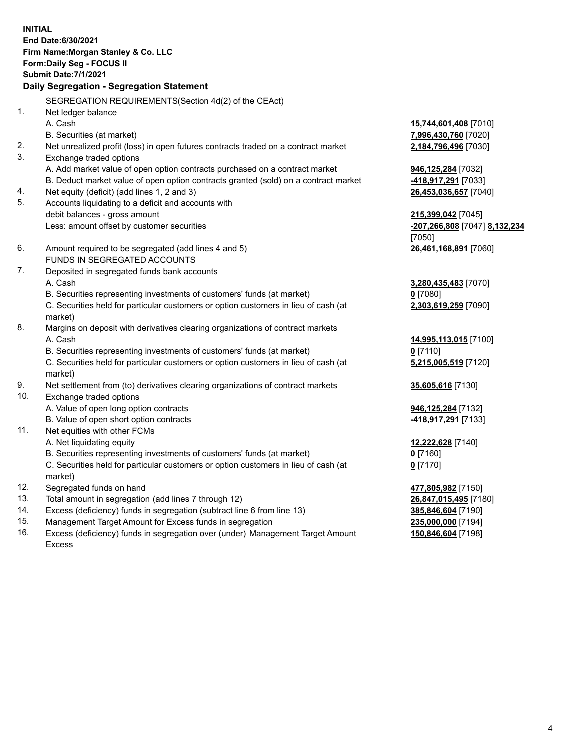**INITIAL End Date:6/30/2021 Firm Name:Morgan Stanley & Co. LLC Form:Daily Seg - FOCUS II Submit Date:7/1/2021 Daily Segregation - Segregation Statement** SEGREGATION REQUIREMENTS(Section 4d(2) of the CEAct) 1. Net ledger balance A. Cash **15,744,601,408** [7010] B. Securities (at market) **7,996,430,760** [7020] 2. Net unrealized profit (loss) in open futures contracts traded on a contract market **2,184,796,496** [7030] 3. Exchange traded options A. Add market value of open option contracts purchased on a contract market **946,125,284** [7032] B. Deduct market value of open option contracts granted (sold) on a contract market **-418,917,291** [7033] 4. Net equity (deficit) (add lines 1, 2 and 3) **26,453,036,657** [7040] 5. Accounts liquidating to a deficit and accounts with debit balances - gross amount **215,399,042** [7045] Less: amount offset by customer securities **-207,266,808** [7047] **8,132,234** [7050] 6. Amount required to be segregated (add lines 4 and 5) **26,461,168,891** [7060] FUNDS IN SEGREGATED ACCOUNTS 7. Deposited in segregated funds bank accounts A. Cash **3,280,435,483** [7070] B. Securities representing investments of customers' funds (at market) **0** [7080] C. Securities held for particular customers or option customers in lieu of cash (at market) **2,303,619,259** [7090] 8. Margins on deposit with derivatives clearing organizations of contract markets A. Cash **14,995,113,015** [7100] B. Securities representing investments of customers' funds (at market) **0** [7110] C. Securities held for particular customers or option customers in lieu of cash (at market) **5,215,005,519** [7120] 9. Net settlement from (to) derivatives clearing organizations of contract markets **35,605,616** [7130] 10. Exchange traded options A. Value of open long option contracts **946,125,284** [7132] B. Value of open short option contracts **-418,917,291** [7133] 11. Net equities with other FCMs A. Net liquidating equity **12,222,628** [7140] B. Securities representing investments of customers' funds (at market) **0** [7160] C. Securities held for particular customers or option customers in lieu of cash (at market) **0** [7170] 12. Segregated funds on hand **477,805,982** [7150] 13. Total amount in segregation (add lines 7 through 12) **26,847,015,495** [7180] 14. Excess (deficiency) funds in segregation (subtract line 6 from line 13) **385,846,604** [7190] 15. Management Target Amount for Excess funds in segregation **235,000,000** [7194]

16. Excess (deficiency) funds in segregation over (under) Management Target Amount Excess

**150,846,604** [7198]